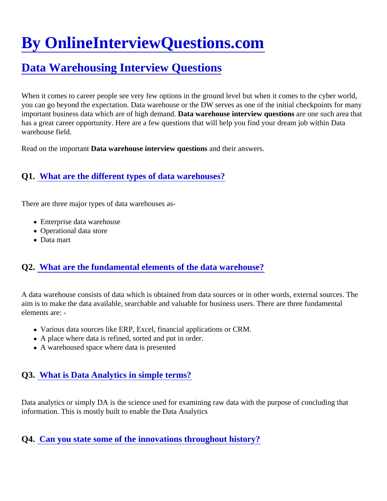# [By OnlineInterviewQuestions.com](https://www.onlineinterviewquestions.com/)

# [Data Warehousing Interview Question](https://www.onlineinterviewquestions.com/data-warehousing-interview-questions/)s

When it comes to career people see very few options in the ground level but when it comes to the cyber world you can go beyond the expectation. Data warehouse or the DW serves as one of the initial checkpoints for m important business data which are of high demand warehouse interview question are one such area that has a great career opportunity. Here are a few questions that will help you find your dream job within Data warehouse field.

Read on the importamiata warehouse interview question and their answers.

# Q1. [What are the different types of data warehouses](https://www.onlineinterviewquestions.com/what-are-the-different-types-of-data-warehouses/)?

There are three major types of data warehouses as-

- Enterprise data warehouse
- Operational data store
- Data mart

# Q2. [What are the fundamental elements of the data warehous](https://www.onlineinterviewquestions.com/what-are-the-fundamental-elements-of-the-data-warehouse/)e?

A data warehouse consists of data which is obtained from data sources or in other words, external sources. T aim is to make the data available, searchable and valuable for business users. There are three fundamental elements are: -

- Various data sources like ERP, Excel, financial applications or CRM.
- A place where data is refined, sorted and put in order.
- A warehoused space where data is presented

#### Q3. [What is Data Analytics in simple terms?](https://www.onlineinterviewquestions.com/what-is-data-analytics-in-simple-terms/)

Data analytics or simply DA is the science used for examining raw data with the purpose of concluding that information. This is mostly built to enable the Data Analytics

Q4. [Can you state some of the innovations throughout history](https://www.onlineinterviewquestions.com/can-you-state-some-of-the-innovations-throughout-history/)?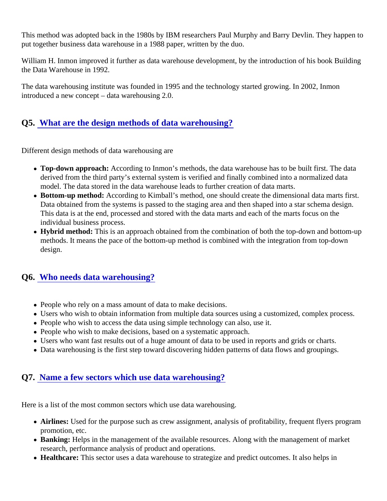This method was adopted back in the 1980s by IBM researchers Paul Murphy and Barry Devlin. They happer put together business data warehouse in a 1988 paper, written by the duo.

William H. Inmon improved it further as data warehouse development, by the introduction of his book Building the Data Warehouse in 1992.

The data warehousing institute was founded in 1995 and the technology started growing. In 2002, Inmon introduced a new concept – data warehousing 2.0.

#### Q5. [What are the design methods of data warehousing](https://www.onlineinterviewquestions.com/what-are-the-design-methods-of-data-warehousing/)?

Different design methods of data warehousing are

- Top-down approach: According to Inmon's methods, the data warehouse has to be built first. The data derived from the third party's external system is verified and finally combined into a normalized data model. The data stored in the data warehouse leads to further creation of data marts.
- Bottom-up method: According to Kimball's method, one should create the dimensional data marts first. Data obtained from the systems is passed to the staging area and then shaped into a star schema design. This data is at the end, processed and stored with the data marts and each of the marts focus on the individual business process.
- Hybrid method: This is an approach obtained from the combination of both the top-down and bottom-up methods. It means the pace of the bottom-up method is combined with the integration from top-down design.

#### Q6. [Who needs data warehousing](https://www.onlineinterviewquestions.com/who-needs-data-warehousing/)?

- People who rely on a mass amount of data to make decisions.
- Users who wish to obtain information from multiple data sources using a customized, complex process.
- People who wish to access the data using simple technology can also, use it.
- People who wish to make decisions, based on a systematic approach.
- Users who want fast results out of a huge amount of data to be used in reports and grids or charts.
- Data warehousing is the first step toward discovering hidden patterns of data flows and groupings.

#### Q7. [Name a few sectors which use data warehousin](https://www.onlineinterviewquestions.com/name-a-few-sectors-which-use-data-warehousing/)g?

Here is a list of the most common sectors which use data warehousing.

- Airlines: Used for the purpose such as crew assignment, analysis of profitability, frequent flyers progran promotion, etc.
- Banking: Helps in the management of the available resources. Along with the management of market research, performance analysis of product and operations.
- Healthcare: This sector uses a data warehouse to strategize and predict outcomes. It also helps in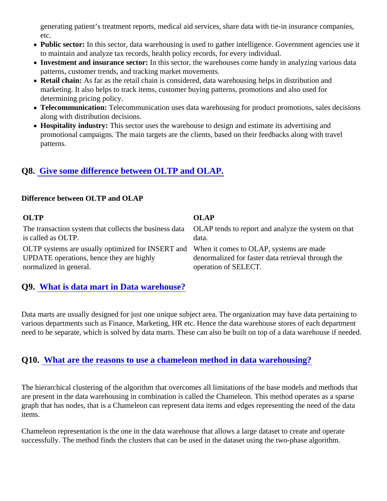generating patient's treatment reports, medical aid services, share data with tie-in insurance companies, etc.

- Public sector: In this sector, data warehousing is used to gather intelligence. Government agencies use to maintain and analyze tax records, health policy records, for every individual.
- Investment and insurance sectorin this sector, the warehouses come handy in analyzing various data patterns, customer trends, and tracking market movements.
- Retail chain: As far as the retail chain is considered, data warehousing helps in distribution and marketing. It also helps to track items, customer buying patterns, promotions and also used for determining pricing policy.
- Telecommunication: Telecommunication uses data warehousing for product promotions, sales decisions along with distribution decisions.
- Hospitality industry: This sector uses the warehouse to design and estimate its advertising and promotional campaigns. The main targets are the clients, based on their feedbacks along with travel patterns.

# Q8. [Give some difference between OLTP and OLAP](https://www.onlineinterviewquestions.com/give-some-difference-between-oltp-and-olap/).

Difference between OLTP and OLAP

OLTP OLAP The transaction system that collects the business data AP tends to report and analyze the system on that is called as OLTP. data.

OLTP systems are usually optimized for INSERT allection it comes to OLAP, systems are made UPDATE operations, hence they are highly normalized in general. denormalized for faster data retrieval through the operation of SELECT.

# Q9. [What is data mart in Data warehouse?](https://www.onlineinterviewquestions.com/what-is-data-mart-in-data-warehouse/)

Data marts are usually designed for just one unique subject area. The organization may have data pertaining various departments such as Finance, Marketing, HR etc. Hence the data warehouse stores of each departm need to be separate, which is solved by data marts. These can also be built on top of a data warehouse if nee

#### Q10. [What are the reasons to use a chameleon method in data warehousin](https://www.onlineinterviewquestions.com/what-are-the-reasons-to-use-a-chameleon-method-in-data-warehousing/)g?

The hierarchical clustering of the algorithm that overcomes all limitations of the base models and methods that are present in the data warehousing in combination is called the Chameleon. This method operates as a spar graph that has nodes, that is a Chameleon can represent data items and edges representing the need of the items.

Chameleon representation is the one in the data warehouse that allows a large dataset to create and operate successfully. The method finds the clusters that can be used in the dataset using the two-phase algorithm.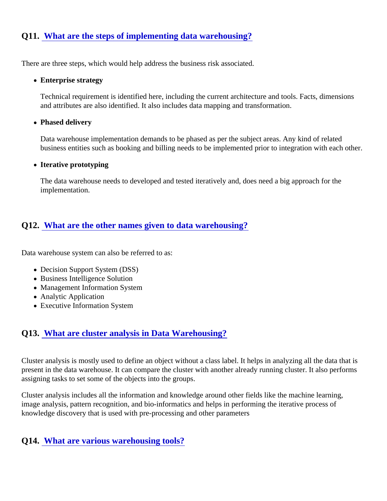# Q11. [What are the steps of implementing data warehousing](https://www.onlineinterviewquestions.com/what-are-the-steps-of-implementing-data-warehousing/)?

There are three steps, which would help address the business risk associated.

• Enterprise strategy

Technical requirement is identified here, including the current architecture and tools. Facts, dimensions and attributes are also identified. It also includes data mapping and transformation.

• Phased delivery

Data warehouse implementation demands to be phased as per the subject areas. Any kind of related business entities such as booking and billing needs to be implemented prior to integration with each oth

• Iterative prototyping

The data warehouse needs to developed and tested iteratively and, does need a big approach for the implementation.

# Q12. [What are the other names given to data warehousing](https://www.onlineinterviewquestions.com/what-are-the-other-names-given-to-data-warehousing/)?

Data warehouse system can also be referred to as:

- Decision Support System (DSS)
- Business Intelligence Solution
- Management Information System
- Analytic Application
- Executive Information System

#### Q13. [What are cluster analysis in Data Warehousing](https://www.onlineinterviewquestions.com/what-are-cluster-analysis-in-data-warehousing/)?

Cluster analysis is mostly used to define an object without a class label. It helps in analyzing all the data that present in the data warehouse. It can compare the cluster with another already running cluster. It also perforr assigning tasks to set some of the objects into the groups.

Cluster analysis includes all the information and knowledge around other fields like the machine learning, image analysis, pattern recognition, and bio-informatics and helps in performing the iterative process of knowledge discovery that is used with pre-processing and other parameters

#### Q14. [What are various warehousing tools?](https://www.onlineinterviewquestions.com/what-are-various-warehousing-tools/)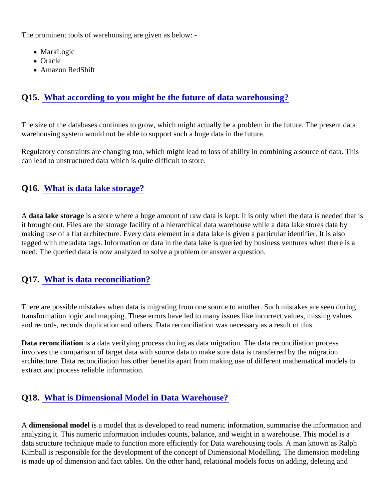The prominent tools of warehousing are given as below: -

- MarkLogic
- Oracle
- Amazon RedShift

# Q15. [What according to you might be the future of data warehousing](https://www.onlineinterviewquestions.com/what-according-to-you-might-be-the-future-of-data-warehousing/)?

The size of the databases continues to grow, which might actually be a problem in the future. The present data warehousing system would not be able to support such a huge data in the future.

Regulatory constraints are changing too, which might lead to loss of ability in combining a source of data. Thi can lead to unstructured data which is quite difficult to store.

#### Q16. [What is data lake storage?](https://www.onlineinterviewquestions.com/what-is-data-lake-storage/)

A data lake storage is a store where a huge amount of raw data is kept. It is only when the data is needed that it brought out. Files are the storage facility of a hierarchical data warehouse while a data lake stores data by making use of a flat architecture. Every data element in a data lake is given a particular identifier. It is also tagged with metadata tags. Information or data in the data lake is queried by business ventures when there is need. The queried data is now analyzed to solve a problem or answer a question.

# Q17. [What is data reconciliation?](https://www.onlineinterviewquestions.com/what-is-data-reconciliation/)

There are possible mistakes when data is migrating from one source to another. Such mistakes are seen during transformation logic and mapping. These errors have led to many issues like incorrect values, missing values and records, records duplication and others. Data reconciliation was necessary as a result of this.

Data reconciliation is a data verifying process during as data migration. The data reconciliation process involves the comparison of target data with source data to make sure data is transferred by the migration architecture. Data reconciliation has other benefits apart from making use of different mathematical models to extract and process reliable information.

# Q18. [What is Dimensional Model in Data Warehouse](https://www.onlineinterviewquestions.com/what-is-dimensional-model-in-data-warehouse/)?

A dimensional modelis a model that is developed to read numeric information, summarise the information and analyzing it. This numeric information includes counts, balance, and weight in a warehouse. This model is a data structure technique made to function more efficiently for Data warehousing tools. A man known as Ralph Kimball is responsible for the development of the concept of Dimensional Modelling. The dimension modeling is made up of dimension and fact tables. On the other hand, relational models focus on adding, deleting and